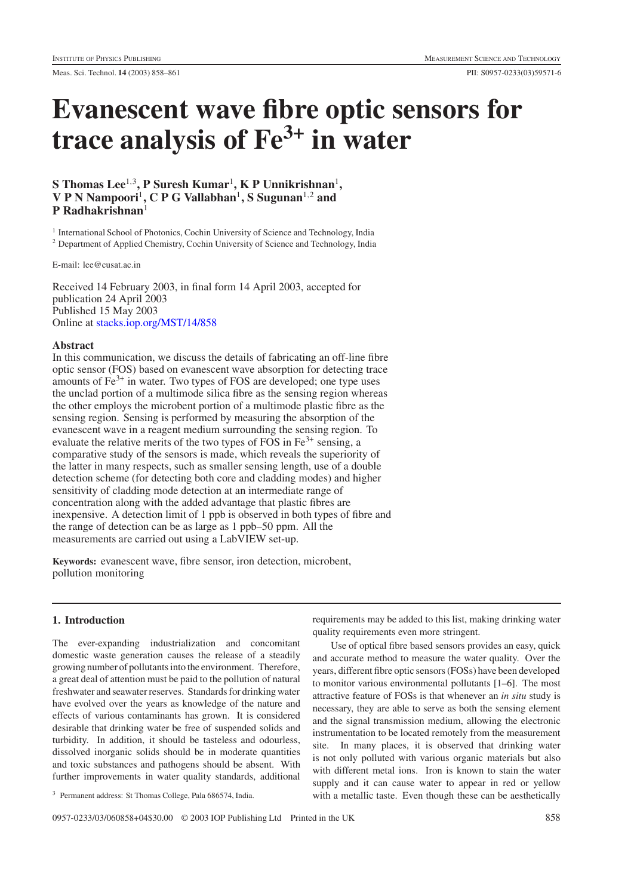# **Evanescent wave fibre optic sensors for trace analysis of Fe3+ in water**

# $\mathbf{S}$  Thomas Lee<sup>1,3</sup>, P Suresh Kumar<sup>1</sup>, K P Unnikrishnan<sup>1</sup>, **V P N Nampoori**<sup>1</sup>**, C P G Vallabhan**<sup>1</sup>**, S Sugunan**<sup>1</sup>,<sup>2</sup> **and P Radhakrishnan**<sup>1</sup>

<sup>1</sup> International School of Photonics, Cochin University of Science and Technology, India <sup>2</sup> Department of Applied Chemistry, Cochin University of Science and Technology, India

E-mail: lee@cusat.ac.in

Received 14 February 2003, in final form 14 April 2003, accepted for publication 24 April 2003 Published 15 May 2003 Online at [stacks.iop.org/MST/14/858](http://stacks.iop.org/MST/14/858)

## **Abstract**

In this communication, we discuss the details of fabricating an off-line fibre optic sensor (FOS) based on evanescent wave absorption for detecting trace amounts of  $Fe<sup>3+</sup>$  in water. Two types of FOS are developed; one type uses the unclad portion of a multimode silica fibre as the sensing region whereas the other employs the microbent portion of a multimode plastic fibre as the sensing region. Sensing is performed by measuring the absorption of the evanescent wave in a reagent medium surrounding the sensing region. To evaluate the relative merits of the two types of FOS in  $Fe<sup>3+</sup>$  sensing, a comparative study of the sensors is made, which reveals the superiority of the latter in many respects, such as smaller sensing length, use of a double detection scheme (for detecting both core and cladding modes) and higher sensitivity of cladding mode detection at an intermediate range of concentration along with the added advantage that plastic fibres are inexpensive. A detection limit of 1 ppb is observed in both types of fibre and the range of detection can be as large as 1 ppb–50 ppm. All the measurements are carried out using a LabVIEW set-up.

**Keywords:** evanescent wave, fibre sensor, iron detection, microbent, pollution monitoring

## **1. Introduction**

The ever-expanding industrialization and concomitant domestic waste generation causes the release of a steadily growing number of pollutants into the environment. Therefore, a great deal of attention must be paid to the pollution of natural freshwater and seawater reserves. Standards for drinking water have evolved over the years as knowledge of the nature and effects of various contaminants has grown. It is considered desirable that drinking water be free of suspended solids and turbidity. In addition, it should be tasteless and odourless, dissolved inorganic solids should be in moderate quantities and toxic substances and pathogens should be absent. With further improvements in water quality standards, additional

<sup>3</sup> Permanent address: St Thomas College, Pala 686574, India.

requirements may be added to this list, making drinking water quality requirements even more stringent.

Use of optical fibre based sensors provides an easy, quick and accurate method to measure the water quality. Over the years, different fibre optic sensors (FOSs) have been developed to monitor various environmental pollutants [1–6]. The most attractive feature of FOSs is that whenever an *in situ* study is necessary, they are able to serve as both the sensing element and the signal transmission medium, allowing the electronic instrumentation to be located remotely from the measurement site. In many places, it is observed that drinking water is not only polluted with various organic materials but also with different metal ions. Iron is known to stain the water supply and it can cause water to appear in red or yellow with a metallic taste. Even though these can be aesthetically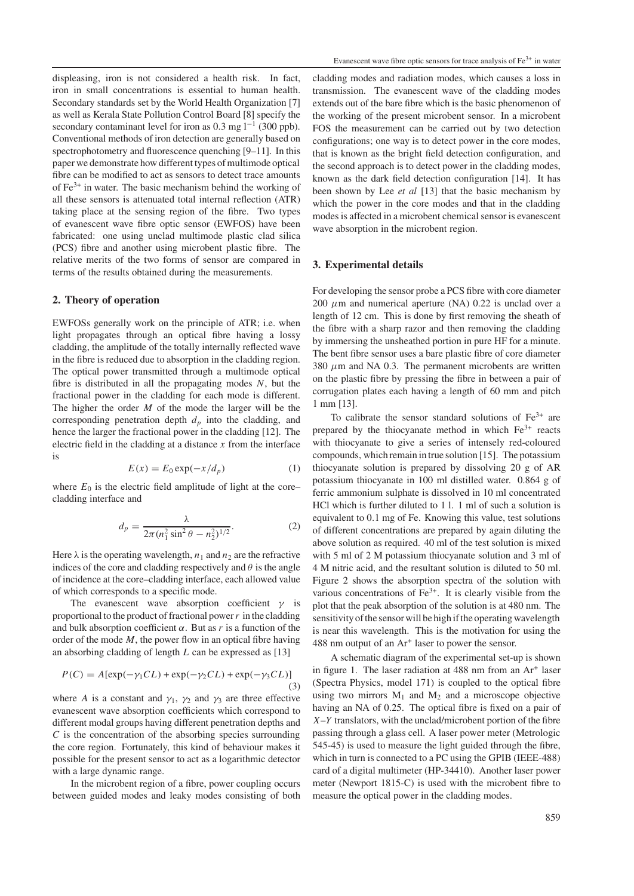displeasing, iron is not considered a health risk. In fact, iron in small concentrations is essential to human health. Secondary standards set by the World Health Organization [7] as well as Kerala State Pollution Control Board [8] specify the secondary contaminant level for iron as 0.3 mg  $l^{-1}$  (300 ppb). Conventional methods of iron detection are generally based on spectrophotometry and fluorescence quenching [9–11]. In this paper we demonstrate how different types of multimode optical fibre can be modified to act as sensors to detect trace amounts of  $Fe<sup>3+</sup>$  in water. The basic mechanism behind the working of all these sensors is attenuated total internal reflection (ATR) taking place at the sensing region of the fibre. Two types of evanescent wave fibre optic sensor (EWFOS) have been fabricated: one using unclad multimode plastic clad silica (PCS) fibre and another using microbent plastic fibre. The relative merits of the two forms of sensor are compared in terms of the results obtained during the measurements.

#### **2. Theory of operation**

EWFOSs generally work on the principle of ATR; i.e. when light propagates through an optical fibre having a lossy cladding, the amplitude of the totally internally reflected wave in the fibre is reduced due to absorption in the cladding region. The optical power transmitted through a multimode optical fibre is distributed in all the propagating modes *N*, but the fractional power in the cladding for each mode is different. The higher the order *M* of the mode the larger will be the corresponding penetration depth  $d_p$  into the cladding, and hence the larger the fractional power in the cladding [12]. The electric field in the cladding at a distance *x* from the interface is

$$
E(x) = E_0 \exp(-x/d_p) \tag{1}
$$

where  $E_0$  is the electric field amplitude of light at the core– cladding interface and

$$
d_p = \frac{\lambda}{2\pi (n_1^2 \sin^2 \theta - n_2^2)^{1/2}}.
$$
 (2)

Here  $\lambda$  is the operating wavelength,  $n_1$  and  $n_2$  are the refractive indices of the core and cladding respectively and  $\theta$  is the angle of incidence at the core–cladding interface, each allowed value of which corresponds to a specific mode.

The evanescent wave absorption coefficient  $\gamma$  is proportional to the product of fractional power*r* in the cladding and bulk absorption coefficient  $\alpha$ . But as *r* is a function of the order of the mode *M*, the power flow in an optical fibre having an absorbing cladding of length *L* can be expressed as [13]

$$
P(C) = A[\exp(-\gamma_1 CL) + \exp(-\gamma_2 CL) + \exp(-\gamma_3 CL)]
$$
\n(3)

where *A* is a constant and  $\gamma_1$ ,  $\gamma_2$  and  $\gamma_3$  are three effective evanescent wave absorption coefficients which correspond to different modal groups having different penetration depths and *C* is the concentration of the absorbing species surrounding the core region. Fortunately, this kind of behaviour makes it possible for the present sensor to act as a logarithmic detector with a large dynamic range.

In the microbent region of a fibre, power coupling occurs between guided modes and leaky modes consisting of both cladding modes and radiation modes, which causes a loss in transmission. The evanescent wave of the cladding modes extends out of the bare fibre which is the basic phenomenon of the working of the present microbent sensor. In a microbent FOS the measurement can be carried out by two detection configurations; one way is to detect power in the core modes, that is known as the bright field detection configuration, and the second approach is to detect power in the cladding modes, known as the dark field detection configuration [14]. It has been shown by Lee *et al* [13] that the basic mechanism by which the power in the core modes and that in the cladding modes is affected in a microbent chemical sensor is evanescent wave absorption in the microbent region.

#### **3. Experimental details**

For developing the sensor probe a PCS fibre with core diameter 200  $\mu$ m and numerical aperture (NA) 0.22 is unclad over a length of 12 cm. This is done by first removing the sheath of the fibre with a sharp razor and then removing the cladding by immersing the unsheathed portion in pure HF for a minute. The bent fibre sensor uses a bare plastic fibre of core diameter 380  $\mu$ m and NA 0.3. The permanent microbents are written on the plastic fibre by pressing the fibre in between a pair of corrugation plates each having a length of 60 mm and pitch 1 mm [13].

To calibrate the sensor standard solutions of  $Fe<sup>3+</sup>$  are prepared by the thiocyanate method in which  $Fe<sup>3+</sup>$  reacts with thiocyanate to give a series of intensely red-coloured compounds, which remain in true solution [15]. The potassium thiocyanate solution is prepared by dissolving 20 g of AR potassium thiocyanate in 100 ml distilled water. 0.864 g of ferric ammonium sulphate is dissolved in 10 ml concentrated HCl which is further diluted to 1 l. 1 ml of such a solution is equivalent to 0.1 mg of Fe. Knowing this value, test solutions of different concentrations are prepared by again diluting the above solution as required. 40 ml of the test solution is mixed with 5 ml of 2 M potassium thiocyanate solution and 3 ml of 4Mnitric acid, and the resultant solution is diluted to 50 ml. Figure 2 shows the absorption spectra of the solution with various concentrations of  $Fe<sup>3+</sup>$ . It is clearly visible from the plot that the peak absorption of the solution is at 480 nm. The sensitivity of the sensor will be high if the operating wavelength is near this wavelength. This is the motivation for using the 488 nm output of an Ar<sup>+</sup> laser to power the sensor.

A schematic diagram of the experimental set-up is shown in figure 1. The laser radiation at 488 nm from an Ar<sup>+</sup> laser (Spectra Physics, model 171) is coupled to the optical fibre using two mirrors  $M_1$  and  $M_2$  and a microscope objective having an NA of 0.25. The optical fibre is fixed on a pair of *X*–*Y* translators, with the unclad/microbent portion of the fibre passing through a glass cell. A laser power meter (Metrologic 545-45) is used to measure the light guided through the fibre, which in turn is connected to a PC using the GPIB (IEEE-488) card of a digital multimeter (HP-34410). Another laser power meter (Newport 1815-C) is used with the microbent fibre to measure the optical power in the cladding modes.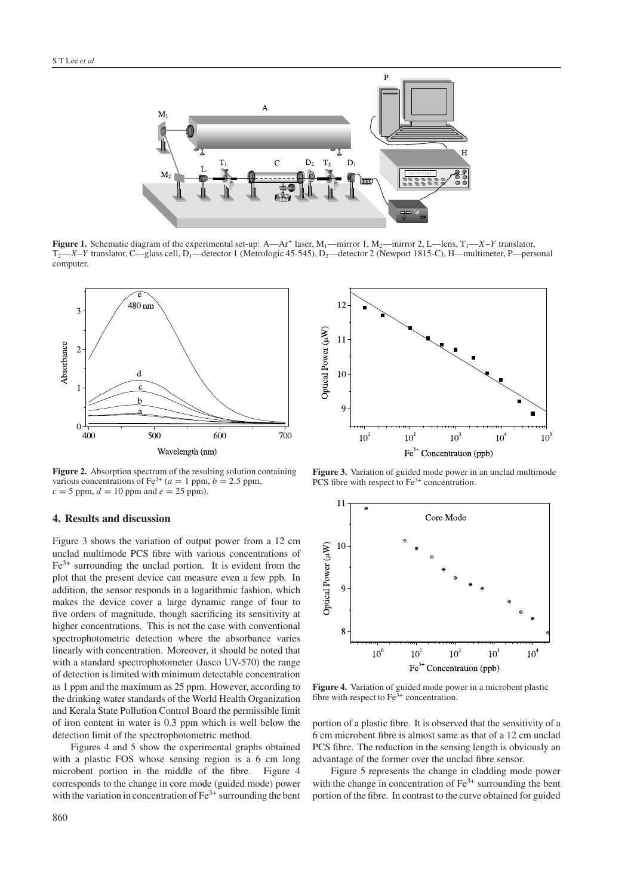

**Figure 1.** Schematic diagram of the experimental set-up: A—Ar<sup>+</sup> laser, M<sub>1</sub>—mirror 1, M<sub>2</sub>—mirror 2, L—lens, T<sub>1</sub>—X–Y translator, T<sub>2</sub>—X–*Y* translator, C—glass cell, D<sub>1</sub>—detector 1 (Metrologic 45-545), D<sub>2</sub>—detector 2 (Newport 1815-C), H—multimeter, P—personal computer.



**Figure 2.** Absorption spectrum of the resulting solution containing various concentrations of Fe<sup>3+</sup> ( $a = 1$  ppm,  $b = 2.5$  ppm,  $c = 5$  ppm,  $d = 10$  ppm and  $e = 25$  ppm).

#### **4. Results and discussion**

Figure 3 shows the variation of output power from a 12 cm unclad multimode PCS fibre with various concentrations of Fe3+ surrounding the unclad portion. It is evident from the plot that the present device can measure even a few ppb. In addition, the sensor responds in a logarithmic fashion, which makes the device cover a large dynamic range of four to five orders of magnitude, though sacrificing its sensitivity at higher concentrations. This is not the case with conventional spectrophotometric detection where the absorbance varies linearly with concentration. Moreover, it should be noted that with a standard spectrophotometer (Jasco UV-570) the range of detection is limited with minimum detectable concentration as 1 ppm and the maximum as 25 ppm. However, according to the drinking water standards of the World Health Organization and Kerala State Pollution Control Board the permissible limit of iron content in water is 0.3 ppm which is well below the detection limit of the spectrophotometric method.

Figures 4 and 5 show the experimental graphs obtained with a plastic FOS whose sensing region is a 6 cm long microbent portion in the middle of the fibre. Figure 4 corresponds to the change in core mode (guided mode) power with the variation in concentration of  $Fe^{3+}$  surrounding the bent



**Figure 3.** Variation of guided mode power in an unclad multimode PCS fibre with respect to Fe<sup>3+</sup> concentration.



**Figure 4.** Variation of guided mode power in a microbent plastic fibre with respect to  $Fe^{3+}$  concentration.

portion of a plastic fibre. It is observed that the sensitivity of a 6 cm microbent fibre is almost same as that of a 12 cm unclad PCS fibre. The reduction in the sensing length is obviously an advantage of the former over the unclad fibre sensor.

Figure 5 represents the change in cladding mode power with the change in concentration of  $Fe<sup>3+</sup>$  surrounding the bent portion of the fibre. In contrast to the curve obtained for guided